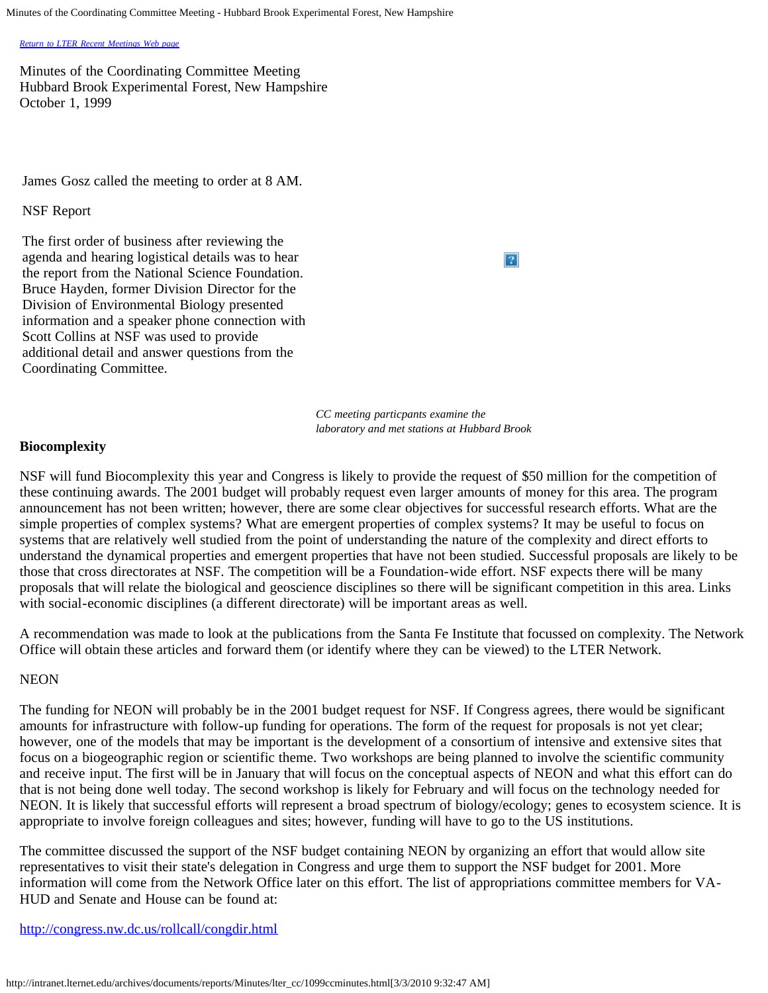Minutes of the Coordinating Committee Meeting - Hubbard Brook Experimental Forest, New Hampshire

*[Return to LTER Recent Meetings Web page](http://intranet.lternet.edu/archives/network/meetings/recent)*

Minutes of the Coordinating Committee Meeting Hubbard Brook Experimental Forest, New Hampshire October 1, 1999

James Gosz called the meeting to order at 8 AM.

## NSF Report

The first order of business after reviewing the agenda and hearing logistical details was to hear the report from the National Science Foundation. Bruce Hayden, former Division Director for the Division of Environmental Biology presented information and a speaker phone connection with Scott Collins at NSF was used to provide additional detail and answer questions from the Coordinating Committee.

2

*CC meeting particpants examine the laboratory and met stations at Hubbard Brook* 

# **Biocomplexity**

NSF will fund Biocomplexity this year and Congress is likely to provide the request of \$50 million for the competition of these continuing awards. The 2001 budget will probably request even larger amounts of money for this area. The program announcement has not been written; however, there are some clear objectives for successful research efforts. What are the simple properties of complex systems? What are emergent properties of complex systems? It may be useful to focus on systems that are relatively well studied from the point of understanding the nature of the complexity and direct efforts to understand the dynamical properties and emergent properties that have not been studied. Successful proposals are likely to be those that cross directorates at NSF. The competition will be a Foundation-wide effort. NSF expects there will be many proposals that will relate the biological and geoscience disciplines so there will be significant competition in this area. Links with social-economic disciplines (a different directorate) will be important areas as well.

A recommendation was made to look at the publications from the Santa Fe Institute that focussed on complexity. The Network Office will obtain these articles and forward them (or identify where they can be viewed) to the LTER Network.

# **NEON**

The funding for NEON will probably be in the 2001 budget request for NSF. If Congress agrees, there would be significant amounts for infrastructure with follow-up funding for operations. The form of the request for proposals is not yet clear; however, one of the models that may be important is the development of a consortium of intensive and extensive sites that focus on a biogeographic region or scientific theme. Two workshops are being planned to involve the scientific community and receive input. The first will be in January that will focus on the conceptual aspects of NEON and what this effort can do that is not being done well today. The second workshop is likely for February and will focus on the technology needed for NEON. It is likely that successful efforts will represent a broad spectrum of biology/ecology; genes to ecosystem science. It is appropriate to involve foreign colleagues and sites; however, funding will have to go to the US institutions.

The committee discussed the support of the NSF budget containing NEON by organizing an effort that would allow site representatives to visit their state's delegation in Congress and urge them to support the NSF budget for 2001. More information will come from the Network Office later on this effort. The list of appropriations committee members for VA-HUD and Senate and House can be found at:

## <http://congress.nw.dc.us/rollcall/congdir.html>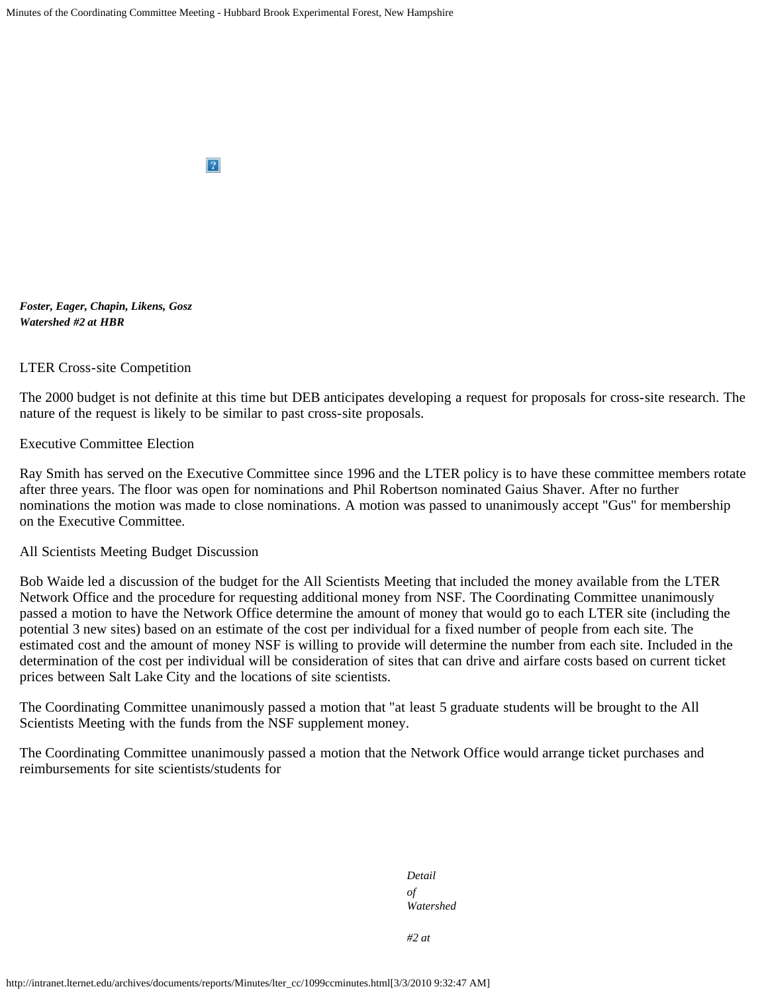

*Foster, Eager, Chapin, Likens, Gosz Watershed #2 at HBR*

LTER Cross-site Competition

The 2000 budget is not definite at this time but DEB anticipates developing a request for proposals for cross-site research. The nature of the request is likely to be similar to past cross-site proposals.

Executive Committee Election

Ray Smith has served on the Executive Committee since 1996 and the LTER policy is to have these committee members rotate after three years. The floor was open for nominations and Phil Robertson nominated Gaius Shaver. After no further nominations the motion was made to close nominations. A motion was passed to unanimously accept "Gus" for membership on the Executive Committee.

#### All Scientists Meeting Budget Discussion

Bob Waide led a discussion of the budget for the All Scientists Meeting that included the money available from the LTER Network Office and the procedure for requesting additional money from NSF. The Coordinating Committee unanimously passed a motion to have the Network Office determine the amount of money that would go to each LTER site (including the potential 3 new sites) based on an estimate of the cost per individual for a fixed number of people from each site. The estimated cost and the amount of money NSF is willing to provide will determine the number from each site. Included in the determination of the cost per individual will be consideration of sites that can drive and airfare costs based on current ticket prices between Salt Lake City and the locations of site scientists.

The Coordinating Committee unanimously passed a motion that "at least 5 graduate students will be brought to the All Scientists Meeting with the funds from the NSF supplement money.

The Coordinating Committee unanimously passed a motion that the Network Office would arrange ticket purchases and reimbursements for site scientists/students for

> *Detail of Watershed*

*#2 at*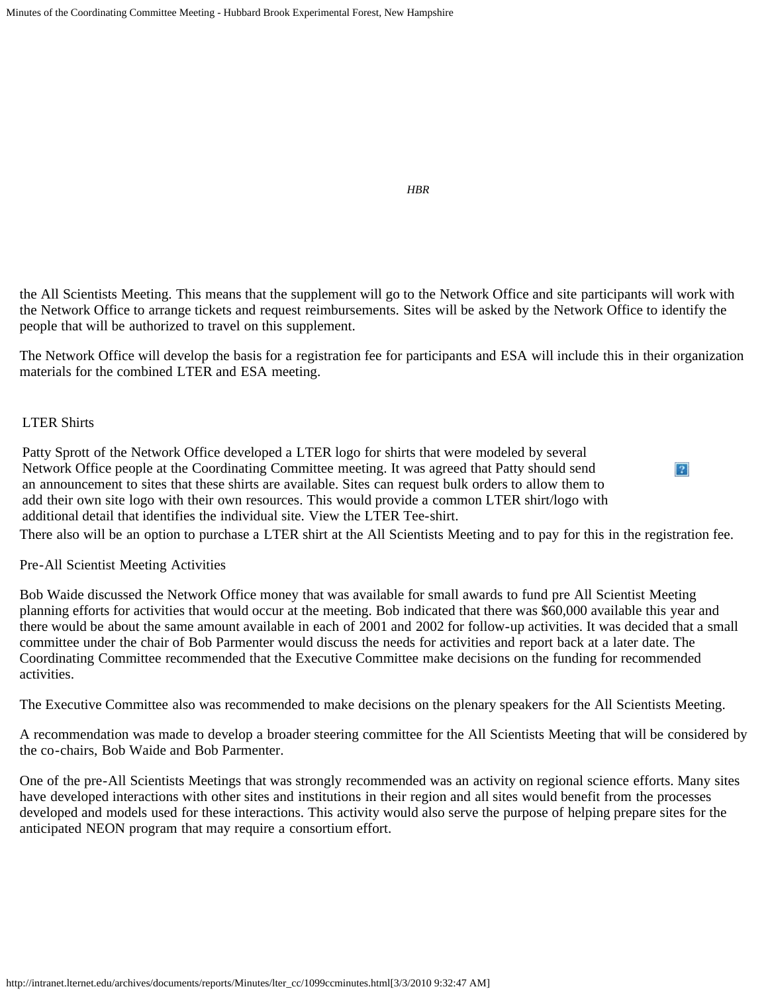*HBR*

 $\boxed{?}$ 

the All Scientists Meeting. This means that the supplement will go to the Network Office and site participants will work with the Network Office to arrange tickets and request reimbursements. Sites will be asked by the Network Office to identify the people that will be authorized to travel on this supplement.

The Network Office will develop the basis for a registration fee for participants and ESA will include this in their organization materials for the combined LTER and ESA meeting.

# LTER Shirts

Patty Sprott of the Network Office developed a LTER logo for shirts that were modeled by several Network Office people at the Coordinating Committee meeting. It was agreed that Patty should send an announcement to sites that these shirts are available. Sites can request bulk orders to allow them to add their own site logo with their own resources. This would provide a common LTER shirt/logo with additional detail that identifies the individual site. View the LTER Tee-shirt.

There also will be an option to purchase a LTER shirt at the All Scientists Meeting and to pay for this in the registration fee.

#### Pre-All Scientist Meeting Activities

Bob Waide discussed the Network Office money that was available for small awards to fund pre All Scientist Meeting planning efforts for activities that would occur at the meeting. Bob indicated that there was \$60,000 available this year and there would be about the same amount available in each of 2001 and 2002 for follow-up activities. It was decided that a small committee under the chair of Bob Parmenter would discuss the needs for activities and report back at a later date. The Coordinating Committee recommended that the Executive Committee make decisions on the funding for recommended activities.

The Executive Committee also was recommended to make decisions on the plenary speakers for the All Scientists Meeting.

A recommendation was made to develop a broader steering committee for the All Scientists Meeting that will be considered by the co-chairs, Bob Waide and Bob Parmenter.

One of the pre-All Scientists Meetings that was strongly recommended was an activity on regional science efforts. Many sites have developed interactions with other sites and institutions in their region and all sites would benefit from the processes developed and models used for these interactions. This activity would also serve the purpose of helping prepare sites for the anticipated NEON program that may require a consortium effort.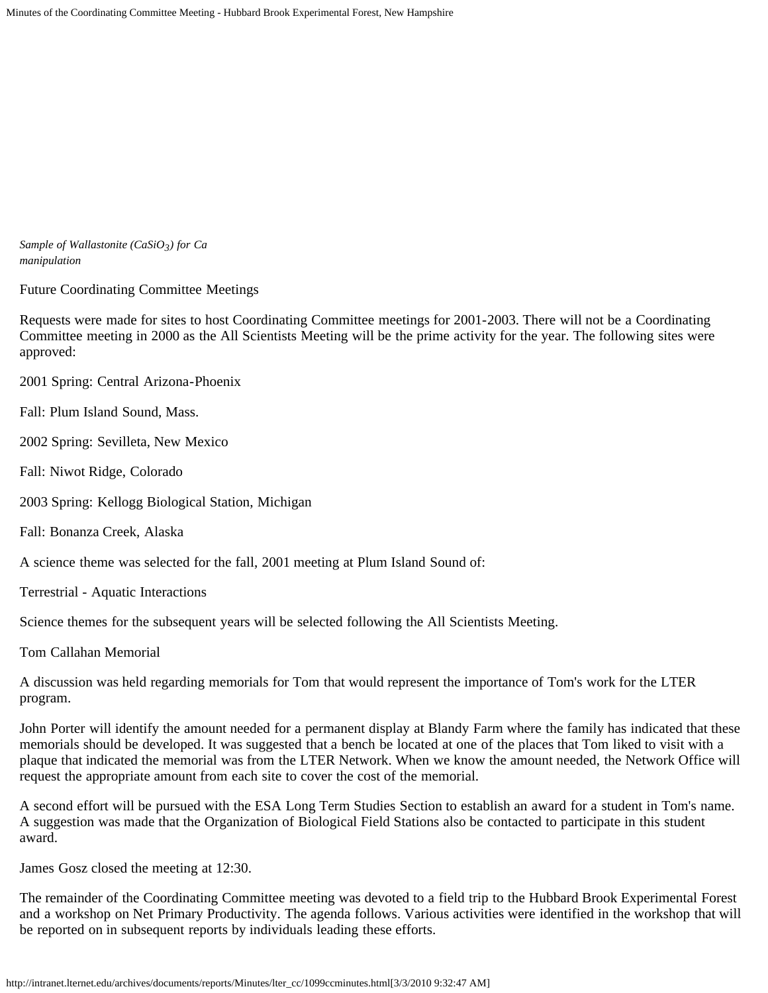*Sample of Wallastonite (CaSiO3) for Ca manipulation*

Future Coordinating Committee Meetings

Requests were made for sites to host Coordinating Committee meetings for 2001-2003. There will not be a Coordinating Committee meeting in 2000 as the All Scientists Meeting will be the prime activity for the year. The following sites were approved:

2001 Spring: Central Arizona-Phoenix

Fall: Plum Island Sound, Mass.

2002 Spring: Sevilleta, New Mexico

Fall: Niwot Ridge, Colorado

2003 Spring: Kellogg Biological Station, Michigan

Fall: Bonanza Creek, Alaska

A science theme was selected for the fall, 2001 meeting at Plum Island Sound of:

Terrestrial - Aquatic Interactions

Science themes for the subsequent years will be selected following the All Scientists Meeting.

Tom Callahan Memorial

A discussion was held regarding memorials for Tom that would represent the importance of Tom's work for the LTER program.

John Porter will identify the amount needed for a permanent display at Blandy Farm where the family has indicated that these memorials should be developed. It was suggested that a bench be located at one of the places that Tom liked to visit with a plaque that indicated the memorial was from the LTER Network. When we know the amount needed, the Network Office will request the appropriate amount from each site to cover the cost of the memorial.

A second effort will be pursued with the ESA Long Term Studies Section to establish an award for a student in Tom's name. A suggestion was made that the Organization of Biological Field Stations also be contacted to participate in this student award.

James Gosz closed the meeting at 12:30.

The remainder of the Coordinating Committee meeting was devoted to a field trip to the Hubbard Brook Experimental Forest and a workshop on Net Primary Productivity. The agenda follows. Various activities were identified in the workshop that will be reported on in subsequent reports by individuals leading these efforts.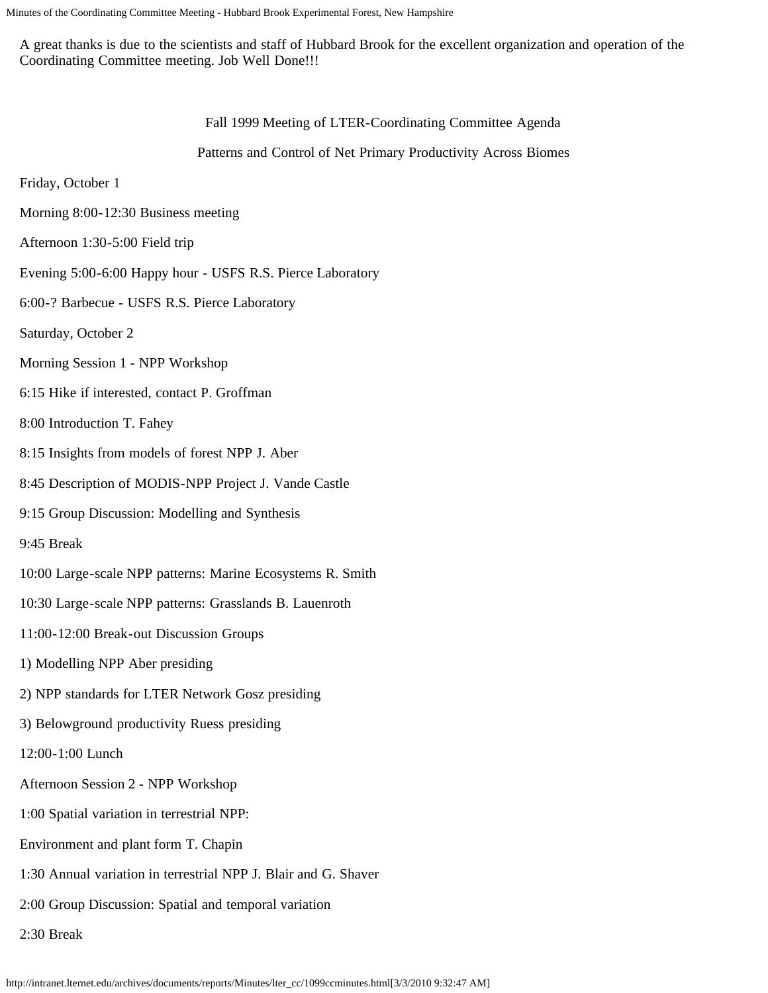A great thanks is due to the scientists and staff of Hubbard Brook for the excellent organization and operation of the Coordinating Committee meeting. Job Well Done!!!

Fall 1999 Meeting of LTER-Coordinating Committee Agenda

Patterns and Control of Net Primary Productivity Across Biomes

Friday, October 1

- Morning 8:00-12:30 Business meeting
- Afternoon 1:30-5:00 Field trip
- Evening 5:00-6:00 Happy hour USFS R.S. Pierce Laboratory
- 6:00-? Barbecue USFS R.S. Pierce Laboratory
- Saturday, October 2
- Morning Session 1 NPP Workshop
- 6:15 Hike if interested, contact P. Groffman
- 8:00 Introduction T. Fahey
- 8:15 Insights from models of forest NPP J. Aber
- 8:45 Description of MODIS-NPP Project J. Vande Castle
- 9:15 Group Discussion: Modelling and Synthesis
- 9:45 Break
- 10:00 Large-scale NPP patterns: Marine Ecosystems R. Smith
- 10:30 Large-scale NPP patterns: Grasslands B. Lauenroth
- 11:00-12:00 Break-out Discussion Groups
- 1) Modelling NPP Aber presiding
- 2) NPP standards for LTER Network Gosz presiding
- 3) Belowground productivity Ruess presiding
- 12:00-1:00 Lunch
- Afternoon Session 2 NPP Workshop
- 1:00 Spatial variation in terrestrial NPP:
- Environment and plant form T. Chapin
- 1:30 Annual variation in terrestrial NPP J. Blair and G. Shaver
- 2:00 Group Discussion: Spatial and temporal variation
- 2:30 Break